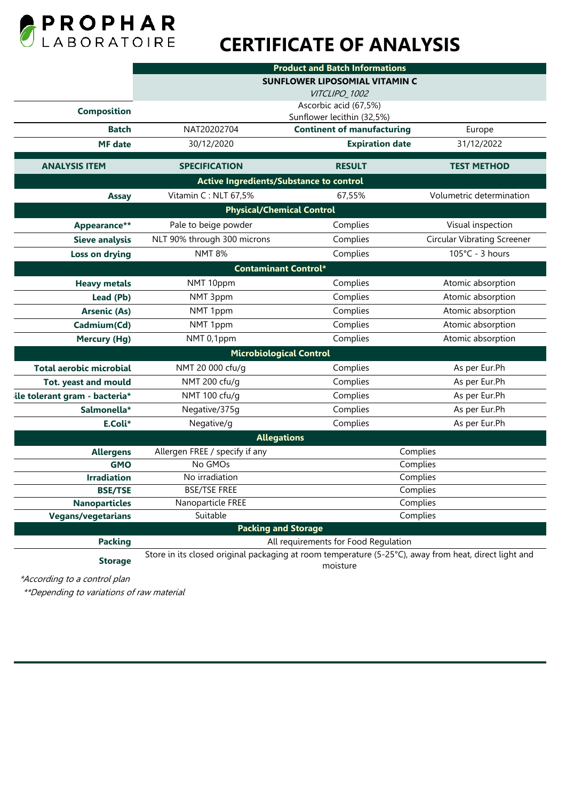

# **CERTIFICATE OF ANALYSIS**

|                                | <b>Product and Batch Informations</b>                                                                             |                                                     |                                    |
|--------------------------------|-------------------------------------------------------------------------------------------------------------------|-----------------------------------------------------|------------------------------------|
|                                | <b>SUNFLOWER LIPOSOMIAL VITAMIN C</b>                                                                             |                                                     |                                    |
|                                |                                                                                                                   | VITCLIPO_1002                                       |                                    |
| <b>Composition</b>             |                                                                                                                   | Ascorbic acid (67,5%)<br>Sunflower lecithin (32,5%) |                                    |
| <b>Batch</b>                   | NAT20202704                                                                                                       | <b>Continent of manufacturing</b>                   | Europe                             |
| <b>MF</b> date                 | 30/12/2020                                                                                                        | <b>Expiration date</b>                              | 31/12/2022                         |
| <b>ANALYSIS ITEM</b>           | <b>SPECIFICATION</b>                                                                                              | <b>RESULT</b>                                       | <b>TEST METHOD</b>                 |
|                                |                                                                                                                   | Active Ingredients/Substance to control             |                                    |
| <b>Assay</b>                   | Vitamin C: NLT 67,5%                                                                                              | 67,55%                                              | Volumetric determination           |
|                                |                                                                                                                   | <b>Physical/Chemical Control</b>                    |                                    |
| Appearance**                   | Pale to beige powder                                                                                              | Complies                                            | Visual inspection                  |
| <b>Sieve analysis</b>          | NLT 90% through 300 microns                                                                                       | Complies                                            | <b>Circular Vibrating Screener</b> |
| Loss on drying                 | <b>NMT 8%</b>                                                                                                     | Complies                                            | 105°C - 3 hours                    |
| <b>Contaminant Control*</b>    |                                                                                                                   |                                                     |                                    |
| <b>Heavy metals</b>            | NMT 10ppm                                                                                                         | Complies                                            | Atomic absorption                  |
| Lead (Pb)                      | NMT 3ppm                                                                                                          | Complies                                            | Atomic absorption                  |
| <b>Arsenic (As)</b>            | NMT 1ppm                                                                                                          | Complies                                            | Atomic absorption                  |
| Cadmium(Cd)                    | NMT 1ppm                                                                                                          | Complies                                            | Atomic absorption                  |
| <b>Mercury (Hg)</b>            | NMT 0,1ppm                                                                                                        | Complies                                            | Atomic absorption                  |
|                                |                                                                                                                   | <b>Microbiological Control</b>                      |                                    |
| <b>Total aerobic microbial</b> | NMT 20 000 cfu/g                                                                                                  | Complies                                            | As per Eur.Ph                      |
| <b>Tot. yeast and mould</b>    | NMT 200 cfu/g                                                                                                     | Complies                                            | As per Eur.Ph                      |
| ile tolerant gram - bacteria*  | NMT 100 cfu/g                                                                                                     | Complies                                            | As per Eur.Ph                      |
| Salmonella*                    | Negative/375g                                                                                                     | Complies                                            | As per Eur.Ph                      |
| E.Coli*                        | Negative/g                                                                                                        | Complies                                            | As per Eur.Ph                      |
|                                |                                                                                                                   | <b>Allegations</b>                                  |                                    |
| <b>Allergens</b>               | Allergen FREE / specify if any                                                                                    | Complies                                            |                                    |
| <b>GMO</b>                     | No GMOs                                                                                                           | Complies                                            |                                    |
| <b>Irradiation</b>             | No irradiation                                                                                                    | Complies                                            |                                    |
| <b>BSE/TSE</b>                 | <b>BSE/TSE FREE</b>                                                                                               | Complies                                            |                                    |
| <b>Nanoparticles</b>           | Nanoparticle FREE                                                                                                 | Complies                                            |                                    |
| <b>Vegans/vegetarians</b>      | Suitable                                                                                                          | Complies                                            |                                    |
|                                |                                                                                                                   | <b>Packing and Storage</b>                          |                                    |
| <b>Packing</b>                 |                                                                                                                   | All requirements for Food Regulation                |                                    |
| <b>Storage</b>                 | Store in its closed original packaging at room temperature (5-25°C), away from heat, direct light and<br>moisture |                                                     |                                    |

\*According to a control plan

\*\*Depending to variations of raw material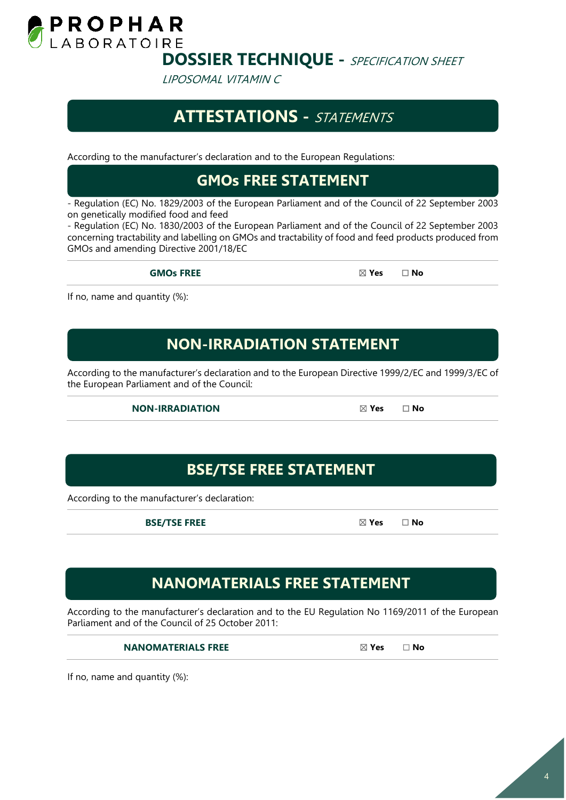

LIPOSOMAL VITAMIN C

## **ATTESTATIONS -** STATEMENTS

According to the manufacturer's declaration and to the European Regulations:

#### **GMOs FREE STATEMENT**

- Regulation (EC) No. 1829/2003 of the European Parliament and of the Council of 22 September 2003 on genetically modified food and feed

- Regulation (EC) No. 1830/2003 of the European Parliament and of the Council of 22 September 2003 concerning tractability and labelling on GMOs and tractability of food and feed products produced from GMOs and amending Directive 2001/18/EC

**GMOs FREE** ☒ **Yes** ☐ **No**

If no, name and quantity (%):

#### **NON-IRRADIATION STATEMENT**

According to the manufacturer's declaration and to the European Directive 1999/2/EC and 1999/3/EC of the European Parliament and of the Council:

**NON-IRRADIATION** ☒ **Yes** ☐ **No**

#### **BSE/TSE FREE STATEMENT**

According to the manufacturer's declaration:

**BSE/TSE FREE** ☒ **Yes** ☐ **No**

**NANOMATERIALS FREE STATEMENT**

According to the manufacturer's declaration and to the EU Regulation No 1169/2011 of the European Parliament and of the Council of 25 October 2011:

**NANOMATERIALS FREE** ☒ **Yes** ☐ **No**

If no, name and quantity (%):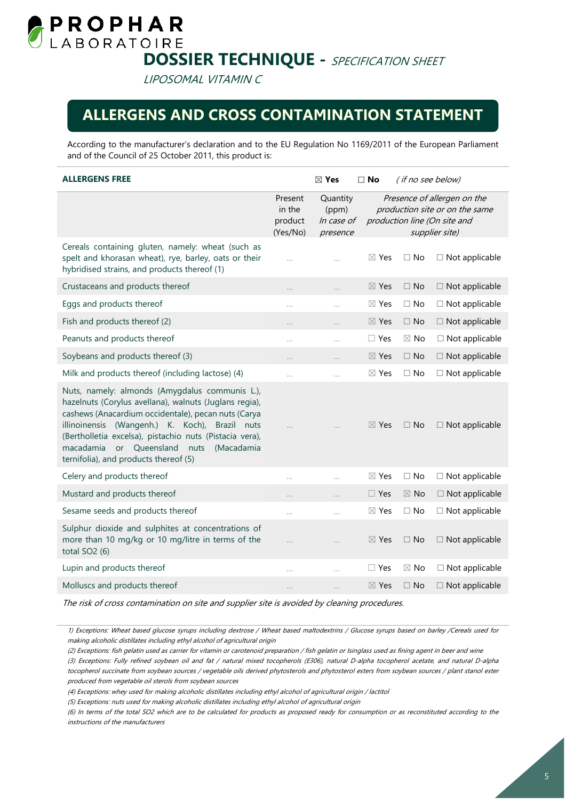

LIPOSOMAL VITAMIN C

#### **ALLERGENS AND CROSS CONTAMINATION STATEMENT**

According to the manufacturer's declaration and to the EU Regulation No 1169/2011 of the European Parliament and of the Council of 25 October 2011, this product is:

| <b>ALLERGENS FREE</b>                                                                                                                                                                                                                                                                                                                                                     |                                          | $\boxtimes$ Yes                             | $\Box$ No       | (if no see below) |                                                                                                                 |
|---------------------------------------------------------------------------------------------------------------------------------------------------------------------------------------------------------------------------------------------------------------------------------------------------------------------------------------------------------------------------|------------------------------------------|---------------------------------------------|-----------------|-------------------|-----------------------------------------------------------------------------------------------------------------|
|                                                                                                                                                                                                                                                                                                                                                                           | Present<br>in the<br>product<br>(Yes/No) | Quantity<br>(ppm)<br>In case of<br>presence |                 |                   | Presence of allergen on the<br>production site or on the same<br>production line (On site and<br>supplier site) |
| Cereals containing gluten, namely: wheat (such as<br>spelt and khorasan wheat), rye, barley, oats or their<br>hybridised strains, and products thereof (1)                                                                                                                                                                                                                | $\cdots$                                 | .                                           | $\boxtimes$ Yes | $\Box$ No         | $\Box$ Not applicable                                                                                           |
| Crustaceans and products thereof                                                                                                                                                                                                                                                                                                                                          | .                                        | .                                           | $\boxtimes$ Yes | $\Box$ No         | $\Box$ Not applicable                                                                                           |
| Eggs and products thereof                                                                                                                                                                                                                                                                                                                                                 | .                                        | $\cdots$                                    | $\boxtimes$ Yes | $\Box$ No         | $\Box$ Not applicable                                                                                           |
| Fish and products thereof (2)                                                                                                                                                                                                                                                                                                                                             | .                                        | .                                           | $\boxtimes$ Yes | $\Box$ No         | $\Box$ Not applicable                                                                                           |
| Peanuts and products thereof                                                                                                                                                                                                                                                                                                                                              | .                                        | .                                           | $\Box$ Yes      | $\boxtimes$ No    | $\Box$ Not applicable                                                                                           |
| Soybeans and products thereof (3)                                                                                                                                                                                                                                                                                                                                         | $\ddotsc$                                | $\cdots$                                    | $\boxtimes$ Yes | $\Box$ No         | $\Box$ Not applicable                                                                                           |
| Milk and products thereof (including lactose) (4)                                                                                                                                                                                                                                                                                                                         | .                                        | .                                           | $\boxtimes$ Yes | $\Box$ No         | $\Box$ Not applicable                                                                                           |
| Nuts, namely: almonds (Amygdalus communis L.),<br>hazelnuts (Corylus avellana), walnuts (Juglans regia),<br>cashews (Anacardium occidentale), pecan nuts (Carya<br>illinoinensis (Wangenh.) K. Koch), Brazil nuts<br>(Bertholletia excelsa), pistachio nuts (Pistacia vera),<br>or Queensland<br>macadamia<br>nuts<br>(Macadamia<br>ternifolia), and products thereof (5) |                                          |                                             | $\boxtimes$ Yes | $\Box$ No         | $\Box$ Not applicable                                                                                           |
| Celery and products thereof                                                                                                                                                                                                                                                                                                                                               | .                                        | .                                           | $\boxtimes$ Yes | $\Box$ No         | $\Box$ Not applicable                                                                                           |
| Mustard and products thereof                                                                                                                                                                                                                                                                                                                                              | .                                        | .                                           | $\Box$ Yes      | $\boxtimes$ No    | $\Box$ Not applicable                                                                                           |
| Sesame seeds and products thereof                                                                                                                                                                                                                                                                                                                                         | $\cdots$                                 | .                                           | $\boxtimes$ Yes | $\Box$ No         | $\Box$ Not applicable                                                                                           |
| Sulphur dioxide and sulphites at concentrations of<br>more than 10 mg/kg or 10 mg/litre in terms of the<br>total $SO2(6)$                                                                                                                                                                                                                                                 | $\ddotsc$                                | .                                           | $\boxtimes$ Yes | $\square$ No      | $\Box$ Not applicable                                                                                           |
| Lupin and products thereof                                                                                                                                                                                                                                                                                                                                                | .                                        | $\cdots$                                    | $\Box$ Yes      | $\boxtimes$ No    | $\Box$ Not applicable                                                                                           |
| Molluscs and products thereof                                                                                                                                                                                                                                                                                                                                             | .                                        | .                                           | $\boxtimes$ Yes | $\Box$ No         | $\Box$ Not applicable                                                                                           |

The risk of cross contamination on site and supplier site is avoided by cleaning procedures.

<sup>1)</sup> Exceptions: Wheat based glucose syrups including dextrose / Wheat based maltodextrins / Glucose syrups based on barley /Cereals used for making alcoholic distillates including ethyl alcohol of agricultural origin

<sup>(2)</sup> Exceptions: fish gelatin used as carrier for vitamin or carotenoid preparation / fish gelatin or Isinglass used as fining agent in beer and wine (3) Exceptions: Fully refined soybean oil and fat / natural mixed tocopherols (E306), natural D-alpha tocopherol acetate, and natural D-alpha tocopherol succinate from soybean sources / vegetable oils derived phytosterols and phytosterol esters from soybean sources / plant stanol ester produced from vegetable oil sterols from soybean sources

<sup>(4)</sup> Exceptions: whey used for making alcoholic distillates including ethyl alcohol of agricultural origin / lactitol

<sup>(5)</sup> Exceptions: nuts used for making alcoholic distillates including ethyl alcohol of agricultural origin

<sup>(6)</sup> In terms of the total SO2 which are to be calculated for products as proposed ready for consumption or as reconstituted according to the instructions of the manufacturers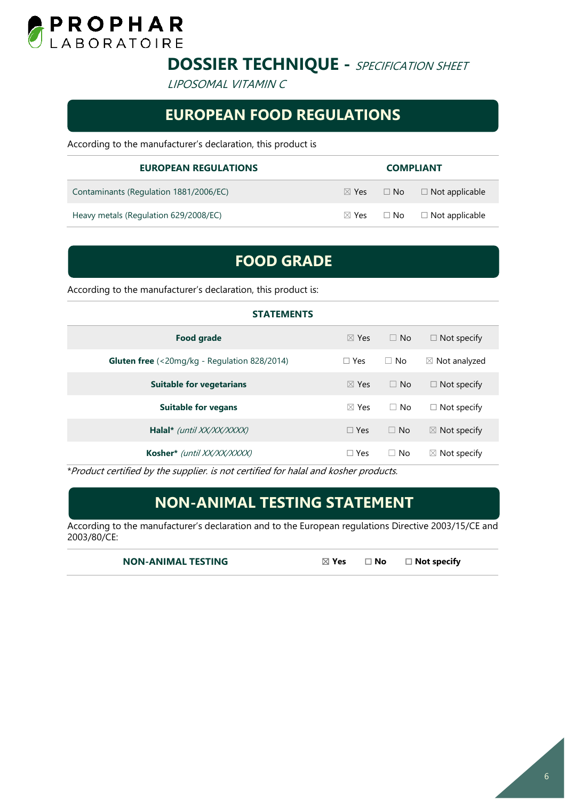

LIPOSOMAL VITAMIN C

#### **EUROPEAN FOOD REGULATIONS**

According to the manufacturer's declaration, this product is

| <b>EUROPEAN REGULATIONS</b>            | <b>COMPLIANT</b> |                                                 |
|----------------------------------------|------------------|-------------------------------------------------|
| Contaminants (Regulation 1881/2006/EC) |                  | $\boxtimes$ Yes $\Box$ No $\Box$ Not applicable |
| Heavy metals (Regulation 629/2008/EC)  |                  | $\boxtimes$ Yes $\Box$ No $\Box$ Not applicable |

### **FOOD GRADE**

According to the manufacturer's declaration, this product is:

| <b>STATEMENTS</b>                                                                 |                 |              |                          |
|-----------------------------------------------------------------------------------|-----------------|--------------|--------------------------|
| <b>Food grade</b>                                                                 | $\boxtimes$ Yes | $\Box$ No    | $\Box$ Not specify       |
| <b>Gluten free</b> $\left( \frac{20mg}{kg} - \text{Regularion } 828/2014 \right)$ | $\Box$ Yes      | $\Box$ No    | $\boxtimes$ Not analyzed |
| <b>Suitable for vegetarians</b>                                                   | $\boxtimes$ Yes | $\Box$ No    | $\Box$ Not specify       |
| <b>Suitable for vegans</b>                                                        | $\boxtimes$ Yes | $\Box$ No    | $\Box$ Not specify       |
| Halal* (until XX/XX/XXXX)                                                         | $\Box$ Yes      | $\Box$ No    | $\boxtimes$ Not specify  |
| Kosher* (until XX/XX/XXXX)                                                        | $\Box$ Yes      | No<br>$\Box$ | $\boxtimes$ Not specify  |

\*Product certified by the supplier. is not certified for halal and kosher products.

#### **NON-ANIMAL TESTING STATEMENT**

According to the manufacturer's declaration and to the European regulations Directive 2003/15/CE and 2003/80/CE:

**NON-ANIMAL TESTING** ☒ **Yes** ☐ **No** ☐ **Not specify**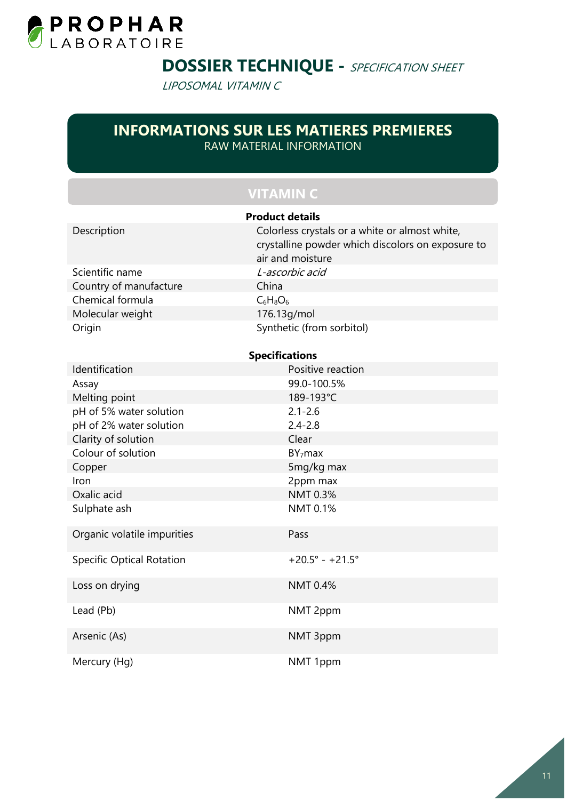

LIPOSOMAL VITAMIN C

#### **INFORMATIONS SUR LES MATIERES PREMIERES**  RAW MATERIAL INFORMATION

#### **VITAMIN C**

| <b>Product details</b>           |                                                                                                                         |  |  |
|----------------------------------|-------------------------------------------------------------------------------------------------------------------------|--|--|
| Description                      | Colorless crystals or a white or almost white,<br>crystalline powder which discolors on exposure to<br>air and moisture |  |  |
| Scientific name                  | L-ascorbic acid                                                                                                         |  |  |
| Country of manufacture           | China                                                                                                                   |  |  |
| Chemical formula                 | $C_6H_8O_6$                                                                                                             |  |  |
| Molecular weight                 | 176.13g/mol                                                                                                             |  |  |
| Origin                           | Synthetic (from sorbitol)                                                                                               |  |  |
|                                  | <b>Specifications</b>                                                                                                   |  |  |
| Identification                   | Positive reaction                                                                                                       |  |  |
| Assay                            | 99.0-100.5%                                                                                                             |  |  |
| Melting point                    | 189-193°C                                                                                                               |  |  |
| pH of 5% water solution          | $2.1 - 2.6$                                                                                                             |  |  |
| pH of 2% water solution          | $2.4 - 2.8$                                                                                                             |  |  |
| Clarity of solution              | Clear                                                                                                                   |  |  |
| Colour of solution               | BY <sub>7</sub> max                                                                                                     |  |  |
| Copper                           | 5mg/kg max                                                                                                              |  |  |
| Iron                             | 2ppm max                                                                                                                |  |  |
| Oxalic acid                      | NMT 0.3%                                                                                                                |  |  |
| Sulphate ash                     | NMT 0.1%                                                                                                                |  |  |
| Organic volatile impurities      | Pass                                                                                                                    |  |  |
| <b>Specific Optical Rotation</b> | $+20.5^{\circ} - +21.5^{\circ}$                                                                                         |  |  |
| Loss on drying                   | <b>NMT 0.4%</b>                                                                                                         |  |  |
| Lead (Pb)                        | NMT 2ppm                                                                                                                |  |  |
| Arsenic (As)                     | NMT 3ppm                                                                                                                |  |  |
| Mercury (Hg)                     | NMT 1ppm                                                                                                                |  |  |